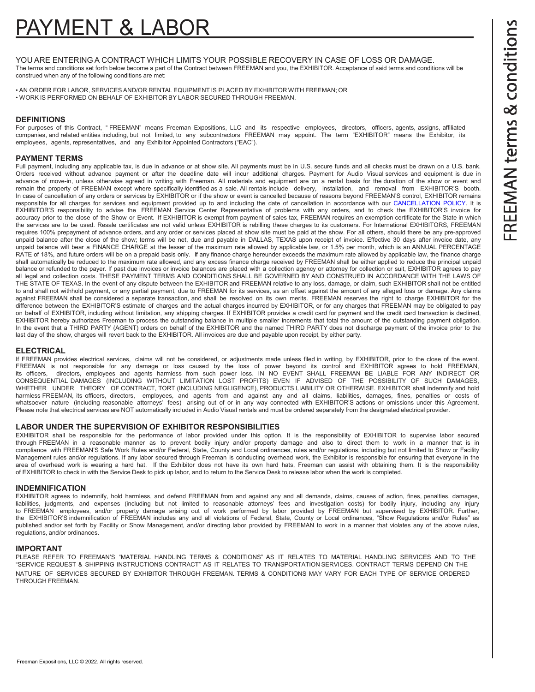# AYMENT & LABO

YOU ARE ENTERING A CONTRACT WHICH LIMITS YOUR POSSIBLE RECOVERY IN CASE OF LOSS OR DAMAGE. The terms and conditions set forth below become a part of the Contract between FREEMAN and you, the EXHIBITOR. Acceptance of said terms and conditions will be construed when any of the following conditions are met:

• AN ORDER FOR LABOR, SERVICES AND/OR RENTAL EQUIPMENT IS PLACED BY EXHIBITOR WITH FREEMAN; OR • WORK IS PERFORMED ON BEHALF OF EXHIBITOR BY LABOR SECURED THROUGH FREEMAN.

# **DEFINITIONS**

For purposes of this Contract, "FREEMAN" means Freeman Expositions, LLC and its respective employees, directors, officers, agents, assigns, affiliated companies, and related entities including, but not limited, to any subcontractors FREEMAN may appoint. The term "EXHIBITOR" means the Exhibitor, its employees, agents, representatives, and any Exhibitor Appointed Contractors ("EAC").

# **PAYMENT TERMS**

Full payment, including any applicable tax, is due in advance or at show site. All payments must be in U.S. secure funds and all checks must be drawn on a U.S. bank. Orders received without advance payment or after the deadline date will incur additional charges. Payment for Audio Visual services and equipment is due in advance of move-in, unless otherwise agreed in writing with Freeman. All materials and equipment are on a rental basis for the duration of the show or event and remain the property of FREEMAN except where specifically identified as a sale. All rentals include delivery, installation, and removal from EXHIBITOR'S booth. In case of cancellation of any orders or services by EXHIBITOR or if the show or event is cancelled because of reasons beyond FREEMAN'S control, EXHIBITOR remains responsible for all charges for services and equipment provided up to and including the date of cancellation in accordance with our [CANCELLATION POLICY.](https://www.freeman.com/resources/event-and-exhibitor-cancellation/) It is EXHIBITOR'S responsibility to advise the FREEMAN Service Center Representative of problems with any orders, and to check the EXHIBITOR'S invoice for accuracy prior to the close of the Show or Event. If EXHIBITOR is exempt from payment of sales tax, FREEMAN requires an exemption certificate for the State in which the services are to be used. Resale certificates are not valid unless EXHIBITOR is rebilling these charges to its customers. For International EXHIBITORS, FREEMAN requires 100% prepayment of advance orders, and any order or services placed at show site must be paid at the show. For all others, should there be any pre-approved unpaid balance after the close of the show; terms will be net, due and payable in DALLAS, TEXAS upon receipt of invoice. Effective 30 days after invoice date, any unpaid balance will bear a FINANCE CHARGE at the lesser of the maximum rate allowed by applicable law, or 1.5% per month, which is an ANNUAL PERCENTAGE RATE of 18%, and future orders will be on a prepaid basis only. If any finance charge hereunder exceeds the maximum rate allowed by applicable law, the finance charge shall automatically be reduced to the maximum rate allowed, and any excess finance charge received by FREEMAN shall be either applied to reduce the principal unpaid balance or refunded to the payer. If past due invoices or invoice balances are placed with a collection agency or attorney for collection or suit, EXHIBITOR agrees to pay all legal and collection costs. THESE PAYMENT TERMS AND CONDITIONS SHALL BE GOVERNED BY AND CONSTRUED IN ACCORDANCE WITH THE LAWS OF THE STATE OF TEXAS. In the event of any dispute between the EXHIBITOR and FREEMAN relative to any loss, damage, or claim, such EXHIBITOR shall not be entitled to and shall not withhold payment, or any partial payment, due to FREEMAN for its services, as an offset against the amount of any alleged loss or damage. Any claims against FREEMAN shall be considered a separate transaction, and shall be resolved on its own merits. FREEMAN reserves the right to charge EXHIBITOR for the difference between the EXHIBITOR'S estimate of charges and the actual charges incurred by EXHIBITOR, or for any charges that FREEMAN may be obligated to pay on behalf of EXHIBITOR, including without limitation, any shipping charges. If EXHIBITOR provides a credit card for payment and the credit card transaction is declined, EXHIBITOR hereby authorizes Freeman to process the outstanding balance in multiple smaller increments that total the amount of the outstanding payment obligation. In the event that a THIRD PARTY (AGENT) orders on behalf of the EXHIBITOR and the named THIRD PARTY does not discharge payment of the invoice prior to the last day of the show, charges will revert back to the EXHIBITOR. All invoices are due and payable upon receipt, by either party.

# **ELECTRICAL**

If FREEMAN provides electrical services, claims will not be considered, or adjustments made unless filed in writing, by EXHIBITOR, prior to the close of the event. FREEMAN is not responsible for any damage or loss caused by the loss of power beyond its control and EXHIBITOR agrees to hold FREEMAN,<br>its officers, directors employees and agents harmless from such power loss. IN NO EVENT directors, employees and agents harmless from such power loss. IN NO EVENT SHALL FREEMAN BE LIABLE FOR ANY INDIRECT OR CONSEQUENTIAL DAMAGES (INCLUDING WITHOUT LIMITATION LOST PROFITS) EVEN IF ADVISED OF THE POSSIBILITY OF SUCH DAMAGES, WHETHER UNDER THEORY OF CONTRACT, TORT (INCLUDING NEGLIGENCE), PRODUCTS LIABILITY OR OTHERWISE. EXHIBITOR shall indemnify and hold harmless FREEMAN, its officers, directors, employees, and agents from and against any and all claims, liabilities, damages, fines, penalties or costs of whatsoever nature (including reasonable attorneys' fees) arising out of or in any way connected with EXHIBITOR'S actions or omissions under this Agreement. Please note that electrical services are NOT automatically included in Audio Visual rentals and must be ordered separately from the designated electrical provider.

# **LABOR UNDER THE SUPERVISION OF EXHIBITOR RESPONSIBILITIES**

EXHIBITOR shall be responsible for the performance of labor provided under this option. It is the responsibility of EXHIBITOR to supervise labor secured through FREEMAN in a reasonable manner as to prevent bodily injury and/or property damage and also to direct them to work in a manner that is in compliance with FREEMAN'S Safe Work Rules and/or Federal, State, County and Local ordinances, rules and/or regulations, including but not limited to Show or Facility Management rules and/or regulations. If any labor secured through Freeman is conducting overhead work, the Exhibitor is responsible for ensuring that everyone in the area of overhead work is wearing a hard hat. If the Exhibitor does not have its own hard hats, Freeman can assist with obtaining them. It is the responsibility of EXHIBITOR to check in with the Service Desk to pick up labor, and to return to the Service Desk to release labor when the work is completed.

## **INDEMNIFICATION**

EXHIBITOR agrees to indemnify, hold harmless, and defend FREEMAN from and against any and all demands, claims, causes of action, fines, penalties, damages, liabilities, judgments, and expenses (including but not limited to reasonable attorneys' fees and investigation costs) for bodily injury, including any injury to FREEMAN employees, and/or property damage arising out of work performed by labor provided by FREEMAN but supervised by EXHIBITOR. Further, the EXHIBITOR'S indemnification of FREEMAN includes any and all violations of Federal, State, County or Local ordinances, "Show Regulations and/or Rules" as published and/or set forth by Facility or Show Management, and/or directing labor provided by FREEMAN to work in a manner that violates any of the above rules, regulations, and/or ordinances.

## **IMPORTANT**

PLEASE REFER TO FREEMAN'S "MATERIAL HANDLING TERMS & CONDITIONS" AS IT RELATES TO MATERIAL HANDLING SERVICES AND TO THE "SERVICE REQUEST & SHIPPING INSTRUCTIONS CONTRACT" AS IT RELATES TO TRANSPORTATION SERVICES. CONTRACT TERMS DEPEND ON THE NATURE OF SERVICES SECURED BY EXHIBITOR THROUGH FREEMAN. TERMS & CONDITIONS MAY VARY FOR EACH TYPE OF SERVICE ORDERED THROUGH FREEMAN.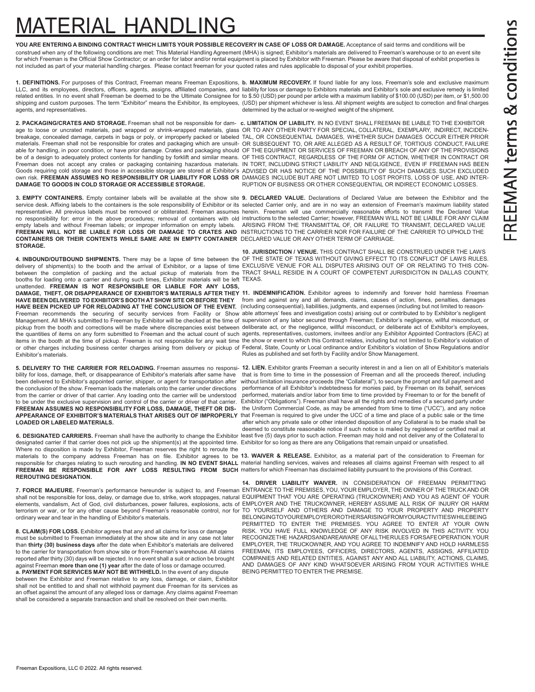# FREEMAN terms & conditions

# ATERIAL HANDLING

**YOU ARE ENTERING A BINDING CONTRACT WHICH LIMITS YOUR POSSIBLE RECOVERY IN CASE OF LOSS OR DAMAGE.** Acceptance of said terms and conditions will be construed when any of the following conditions are met: This Material Handling Agreement (MHA) is signed; Exhibitor's materials are delivered to Freeman's warehouse or to an event site for which Freeman is the Official Show Contractor; or an order for labor and/or rental equipment is placed by Exhibitor with Freeman. Please be aware that disposal of exhibit properties is not included as part of your material handling charges. Please contact freeman for your quoted rates and rules applicable to disposal of your exhibit properties.

**1. DEFINITIONS.** For purposes of this Contract, Freeman means Freeman Expositions, **b. MAXIMUM RECOVERY.** If found liable for any loss, Freeman's sole and exclusive maximum LLC, and its employees, directors, officers, agents, assigns, affiliated companies, and liability for loss or damage to Exhibitors materials and Exhibitor's sole and exclusive remedy is limited related entities. In no event shall Freeman be deemed to be the Ultimate Consignee for to \$.50 (USD) per pound per article with a maximum liability of \$100.00 (USD) per item, or \$1,500.00 shipping and custom purposes. The term "Exhibitor" means the Exhibitor, its employees, (USD) per shipment whichever is less. All shipment weights are subject to correction and final charges agents, and representatives. determined by the actual or re-weighed weight of the shipment.

**DAMAGE TO GOODS IN COLD STORAGE OR ACCESSIBLE STORAGE.**

**CONTAINERS OR THEIR CONTENTS WHILE SAME ARE IN EMPTY CONTAINER** DECLARED VALUE OR ANY OTHER TERM OF CARRIAGE. **STORAGE.**

booths for loading onto a carrier and during such times, Exhibitor materials will be left TEXAS. unattended. **FREEMAN IS NOT RESPONSIBLE OR LIABLE FOR ANY LOSS, HAVE BEEN DELIVERED TO EXHBITOR'S BOOTH AT SHOW SITE OR BEFORE THEY**

Exhibitor's materials.

bility for loss, damage, theft, or disappearance of Exhibitor's materials after same have<br>been delivered to Exhibitor's appointed carrier, shipper, or agent for transportation after the conclusion of the show. Freeman loads the materials onto the carrier under directions from the carrier or driver of that carrier. Any loading onto the carrier will be understood to be under the exclusive supervision and control of the carrier or driver of that carrier.

designated carrier if that carrier does not pick up the shipment(s) at the appointed time. Exhibitor for so long as there are any Obligations that remain unpaid or unsatisfied. Where no disposition is made by Exhibitor, Freeman reserves the right to reroute the **FREEMAN BE RESPONSIBLE FOR ANY LOSS RESULTING FROM SUCH** matters for which Freeman has disclaimed liability pursuant to the provisions of this Contract. **REROUTING DESIGNATION.**

elements, vandalism, Act of God, civil disturbances, power failures, explosions, acts of terrorism or war, or for any other cause beyond Freeman's reasonable control, nor for ordinary wear and tear in the handling of Exhibitor's materials.

**8. CLAIM(S) FOR LOSS.** Exhibitor agrees that any and all claims for loss or damage must be submitted to Freeman immediately at the show site and in any case not later than **thirty (30) business days** after the date when Exhibitor's materials are delivered to the carrier for transportation from show site or from Freeman's warehouse. All claims reported after thirty (30) days will be rejected. In no event shall a suit or action be brought against Freeman **more than one (1) year** after the date of loss or damage occurred. **a. PAYMENT FOR SERVICES MAY NOT BE WITHHELD.** In the event of any dispute between the Exhibitor and Freeman relative to any loss, damage, or claim, Exhibitor shall not be entitled to and shall not withhold payment due Freeman for its services as an offset against the amount of any alleged loss or damage. Any claims against Freeman shall be considered a separate transaction and shall be resolved on their own merits

**2. PACKAGING/CRATES AND STORAGE.** Freeman shall not be responsible for dam- **c. LIMITATION OF LIABILITY.** IN NO EVENT SHALL FREEMAN BE LIABLE TO THE EXHIBITOR age to loose or uncrated materials, pad wrapped or shrink-wrapped materials, glass OR TO ANY OTHER PARTY FOR SPECIAL, COLLATERAL, EXEMPLARY, INDIRECT, INCIDENbreakage, concealed damage, carpets in bags or poly, or improperly packed or labeled TAL, OR CONSEQUENTIAL DAMAGES, WHETHER SUCH DAMAGES OCCUR EITHER PRIOR materials. Freeman shall not be responsible for crates and packaging which are unsuit- OR SUBSEQUENT TO, OR ARE ALLEGED AS A RESULT OF, TORTIOUS CONDUCT, FAILURE able for handling, in poor condition, or have prior damage. Crates and packaging should OF THE EQUIPMENT OR SERVICES OF FREEMAN OR BREACH OF ANY OF THE PROVISIONS be of a design to adequately protect contents for handling by forklift and similar means. OF THIS CONTRACT, REGARDLESS OF THE FORM OF ACTION, WHETHER IN CONTRACT OR Freeman does not accept any crates or packaging containing hazardous materials. IN TORT, INCLUDING STRICT LIABILITY AND NEGLIGENCE, EVEN IF FREEMAN HAS BEEN Goods requiring cold storage and those in accessible storage are stored at Exhibitor's ADVISED OR HAS NOTICE OF THE POSSIBILITY OF SUCH DAMAGES. SUCH EXCLUDED own risk. **FREEMAN ASSUMES NO RESPONSIBILITY OR LIABILITY FOR LOSS OR** DAMAGES INCLUDE BUT ARE NOT LIMITED TO LOST PROFITS, LOSS OF USE, AND INTER-RUPTION OF BUSINESS OR OTHER CONSEQUENTIAL OR INDIRECT ECONOMIC LOSSES.

**3. EMPTY CONTAINERS.** Empty container labels will be available at the show site **9. DECLARED VALUE.** Declarations of Declared Value are between the Exhibitor and the service desk. Affixing labels to the containers is the sole responsibility of Exhibitor or its selected Carrier only, and are in no way an extension of Freeman's maximum liability stated representative. All previous labels must be removed or obliterated. Freeman assumes herein. Freeman will use commercially reasonable efforts to transmit the Declared Value no responsibility for: error in the above procedures; removal of containers with old instructions to the selected Carrier; however, FREEMAN WILL NOT BE LIABLE FOR ANY CLAIM empty labels and without Freeman labels; or improper information on empty labels. ARISING FROM THE TRANSMITTAL OF, OR FAILURE TO TRANSMIT, DECLARED VALUE<br>**FREEMAN WILL NOT BE LIABLE FOR LOSS OR DAMAGE TO CRATES AND** INSTRU

4. INBOUND/OUTBOUND SHIPMENTS. There may be a lapse of time between the OF THE STATE OF TEXAS WITHOUT GIVING EFFECT TO ITS CONFLICT OF LAWS RULES. delivery of shipment(s) to the booth and the arrival of Exhibitor, or a lapse of time EXCLUSIVE VENUE FOR ALL DISPUTES ARISING OUT OF OR RELATING TO THIS CONbetween the completion of packing and the actual pickup of materials from the TRACT SHALL RESIDE IN A COURT OF COMPETENT JURISDICITON IN DALLAS COUNTY, **10. JURISDICTION / VENUE.** THIS CONTRACT SHALL BE CONSTRUED UNDER THE LAWS

DAMAGE, THEFT, OR DISAPPEARANCE OF EXHIBITOR'S MATERIALS AFTER THEY 11. INDEMNIFICATION. Exhibitor agrees to indemnify and forever hold harmless Freeman from and against any and all demands, claims, causes of action, fines, penalties, damages **HAVE BEEN PICKED UP FOR RELOADING AT THE CONCLUSION OF THE EVENT.** (including consequential), liabilities, judgments, and expenses (including but not limited to reason-Freeman recommends the securing of security services from Facility or Show able attorneys' fees and investigation costs) arising out or contributed to by Exhibitor's negligent Management. All MHA's submitted to Freeman by Exhibitor will be checked at the time of supervision of any labor secured through Freeman; Exhibitor's negligence, willful misconduct, or pickup from the booth and corrections will be made where discrepancies exist between deliberate act, or the negligence, willful misconduct, or deliberate act of Exhibitor's employees, the quantities of items on any form submitted to Freeman and the actual count of such agents, representatives, customers, invitees and/or any Exhibitor Appointed Contractors (EAC) at items in the booth at the time of pickup. Freeman is not responsible for any wait time the show or event to which this Contract relates, including but not limited to Exhibitor's violation of or other charges including business center charges arising from delivery or pickup of Federal, State, County or Local ordinance and/or Exhibitor's violation of Show Regulations and/or Rules as published and set forth by Facility and/or Show Management.

5. DELIVERY TO THE CARRIER FOR RELOADING. Freeman assumes no responsi- 12. LIEN. Exhibitor grants Freeman a security interest in and a lien on all of Exhibitor's materials that is from time to time in the possession of Freeman and all the proceeds thereof, including without limitation insurance proceeds (the "Collateral"), to secure the prompt and full payment and performance of all Exhibitor's indebtedness for monies paid, by Freeman on its behalf, services performed, materials and/or labor from time to time provided by Freeman to or for the benefit of to be under the exclusive supervision and control of the carrier or driver of that carrier. Exhibitor ("Obligations"). Freeman shall have all the rights and remedies of a secured party under<br>FREEMAN ASSUMES NO RESPONSIBILI **FREEMAN ASSUMES NO RESPONSIBILITY FOR LOSS, DAMAGE, THEFT OR DIS-** the Uniform Commercial Code, as may be amended from time to time ("UCC"), and any notice<br>APPEARANCE OF EXHIBITOR'S MATERIALS THAT ARISES OUT OF IMPROPERLY that Freeman is required to give under the UCC of a time and place of a public sale or the time **LOADED OR LABELED MATERIALS. and the state of the state of the state of other intended disposition of any Collateral is to be made shall be collateral** is to be made shall be deemed to constitute reasonable notice if such notice is mailed by registered or certified mail at **6. DESIGNATED CARRIERS.** Freeman shall have the authority to change the Exhibitor least five (5) days prior to such action. Freeman may hold and not deliver any of the Collateral to

materials to the company address Freeman has on file. Exhibitor agrees to be **13. WAIVER & RELEASE.** Exhibitor, as a material part of the consideration to Freeman for responsible for charges relating to such rerouting and handling. **IN NO EVENT SHALL** material handling services, waives and releases all claims against Freeman with respect to all

7. FORCE MAJEURE. Freeman's performance hereunder is subject to, and Freeman ENTRANCE TO THE PREMISES, YOU, YOUR EMPLOYER, THE OWNER OF THE TRUCK AND OR shall not be responsible for loss, delay, or damage due to, strike, work stoppages, natural EQUIPMENT THAT YOU ARE OPERATING (TRUCKOWNER) AND YOU AS AGENT OF YOUR **14. DRIVER LIABILITY WAIVER.** IN CONSIDERATION OF FREEMAN PERMITTING EMPLOYER AND THE TRUCKOWNER, HEREBY ASSUME ALL RISK OF INJURY OR HARM TO YOURSELF AND OTHERS AND DAMAGE TO YOUR PROPERTY AND PROPERTY BELONGINGTOYOUREMPLOYEROROTHERSARISINGFROMYOURACTIVITIESWHILEBEING PERMITTED TO ENTER THE PREMISES. YOU AGREE TO ENTER AT YOUR OWN RISK. YOU HAVE FULL KNOWLEDGE OF ANY RISK INVOLVED IN THIS ACTIVITY. YOU RECOGNIZETHE HAZARDSANDAREAWARE OFALLTHERULES FORSAFEOPERATION.YOUR EMPLOYER, THE TRUCKOWNER, AND YOU AGREE TO INDEMNIFY AND HOLD HARMLESS FREEMAN, ITS EMPLOYEES, OFFICERS, DIRECTORS, AGENTS, ASSIGNS, AFFILIATED COMPANIES AND RELATED ENTITIES, AGAINST ANY AND ALL LIABILITY, ACTIONS, CLAIMS, AND DAMAGES OF ANY KIND WHATSOEVER ARISING FROM YOUR ACTIVITIES WHILE BEING PERMITTED TO ENTER THE PREMISE.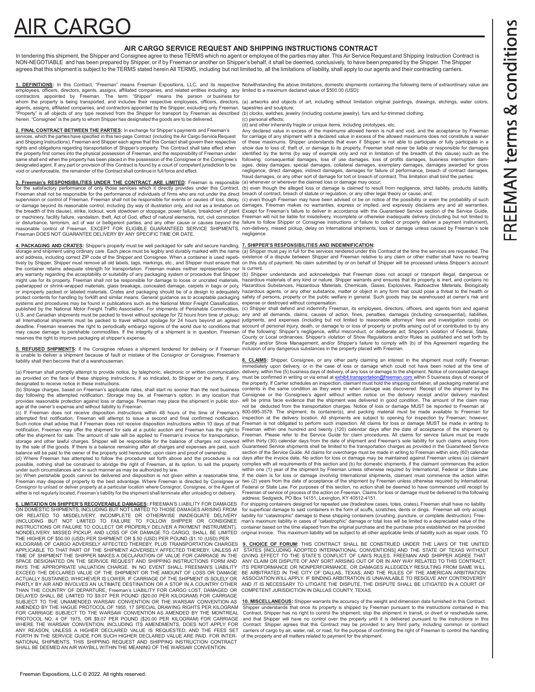# **AIR CARGO**

## **AIR CARGO SERVICE REQUEST AND SHIPPING INSTRUCTIONS CONTRACT**

In tendering this shipment, the Shipper and Consignee agree to these TERMS which no agent or employee of the parties may alter. This Air Service Request and Shipping Instruction Contract is NON-NEGOTIABLE and has been prepared by Shipper, or if by Freeman or another on Shipper's behalf, it shall be deemed, conclusively, to have been prepared by the Shipper. The Shipper agrees that this shipment is subject to the TERMS stated herein All TERMS, including but not limited to, all the limitations of liability, shall apply to our agents and their contracting carriers.

<u>1. DEFINITIONS</u>: In this Contract, "Freeman" means Freeman Expositions, LLC, and its respective<br>employees, officers, directors, agents, assigns, affiliated companies, and related entities including any<br>contractors appoi Notwithstanding the above limitations, domestic shipments containing the following items of extraordinary value are limited to a maximum declared value of \$500.00 (USD):

herein. "Consignee" is the party to whom Shipper has designated the goods are to be delivered. **2. FINAL CONTRACT BETWEEN THE PARTIES:** In exchange for Shipper's payments and Freeman's services, which the parties have specified in this two-page Contract (including the Air Cargo Service Request and Shipping Instructions), Freeman and Shipper each agree that this Contact shall govern their respective rights and obligations regarding transportation of Shipper's property. This Contract shall take effect when the property first comes into the physical possession of Freeman, and the responsibility of Freeman under same shall end when the property has been placed in the possession of the Consignee or the Consignee's

designated agent. If any part or provision of this Contract is found by a court of competent jurisdiction to be

void or unenforceable, the remainder of the Contract shall continue in full force and effect.

**3. Freeman's RESPONSIBILITIES UNDER THE CONTRACT ARE LIMITED:** Freeman is responsible or machinery, facility failure, vandalism, theft, Act of God, effect of natural elements, riot, civil commotion Freeman DOES NOT GUARANTEE DELIVERY BY ANY SPECIFIC TIME OR DATE.

**4. PACKAGING AND CRATES:** Shipper's property must be well packaged for safe and secure handling, <u>7. SHIPPER'S RESPONSIBILITIES AND INDEMNIFICATION</u>:<br>storage and shipment using ordinary care. Each piece must be legibly an the container retains adequate strength for transportation. Freeman makes neither representation nor<br>any warranty regarding the acceptability or suitability of any packaging system or procedure that Shipper<br>might use for i systems and procedures may be found in publications such as the National Motor Freight Classification,<br>published by the National Motor Freight Traffic Association. For shipments of Perishable Commodities,<br>U.S. and Canadian all International shipments must be packed to travel without spoilage for 24 hours beyond an agreed<br>deadline. Freeman reserves the right to periodically embargo regions of the world due to conditions that<br>may cause damage reserves the right to improve packaging at shipper's expense. the container retains adequate strength for transportation. Freeman makes neither representation nor is current.

**5. REFUSED SHIPMENTS:** If the Consignee refuses a shipment tendered for delivery or if Freeman is unable to deliver a shipment because of fault or mistake of the Consignor or Consignee, Freeman's liability shall then become that of a warehouseman.

as provided on the face of these shipping instructions, if so indicated, to Shipper or the party, if any, designated to receive notice in these instructions.

provides reasonable protection against loss or damage. Freeman may place the shipment in public stor-

age at the owner's expense and without liability to Freeman.<br>(c) If Freeman does not receive disposition instructions within 48 hours of the time of Freeman's<br>attempted first notification, Freeman will attempt to issue a s notification, Freeman may offer the shipment for sale at a public auction and Freeman has the right to<br>offer the shipment for sale. The amount of sale will be applied to Freeman's invoice for transportation,<br>storage and ot

under such circumstances and in such manner as may be authorized by law.

(e) When perishable goods cannot be delivered and disposition is not given within a reasonable time,<br>Freeman may dispose of property to the best advantage. Where Freeman is directed by Consignee or<br>Consignor to unload or d either is not regularly located, Freeman's liability for the shipment shall terminate after unloading or delivery.

**6. LIMITATION ON SHIPPER'S RECOVERABLE DAMAGES:** FREEMAN'S LIABILITY FOR DAMAGES For shipping containers in the form of sculpts. The readed based (tradeshow cases, totes, crates), Freeman shall have no liability on DOMEST THE HIGHER OF \$50.00 (USD) PER SHIPMENT OR \$.50 (USD) PER POUND (\$1.10 (USD) PER SPACE DESIGNATED ON THE SERVICE REQUEST AND SHIPPING INSTRUCTIONS FORM AND AND AND AND AND ANY CLAIM OR DISPUTE OF ANY SORT ARISING ON THE APPROPRIATE VALUATION CHARGE. IN NO EVENT SHALL FREEMAN'S LIABILITY EXCEED THE DECL THAN THE COUNTRY OF DEPARTURE, Freeman's LIABILITY FOR CARGO LOST, DAMAGED OR COMPETENT JURISDICTION IN DALLAS COUNTY, TEXAS.<br>DELAYED SHALL BE LIMITED TO \$9.07 PER POUND (\$20.00 PER KILOGRAM) FOR CARRIAGE FORTH IN THE SERVICE GUIDE FOR SUCH HIGHER DECLARED VALUE ARE PAID. FOR INTER- of the property and all matters related to payment for the shipment.<br>NATIONAL SHIPMENTS, THIS SHIPPING REQUEST AND SHIPPING INSTRUCTION CO SHALL BE DEEMED AN AIR WAYBILL WITHIN THE MEANING OF THE WARSAW CONVENTION.

whom the property is being transported, and includes their respective employees, officers, directors, (a) artworks and objects of art, including without limitation original paintings, drawings, etchings, water colors,

agents, assigns, affiliated companies, and contractors appointed by the Shipper, excluding only Freeman. tapestries and sculpture;<br>"Property" is all objects of any type received from the Shipper for transport by Freeman as

(c) personal effects; (d) and other inherently fragile or unique items, including prototypes, etc.

Any declared value in excess of the maximums allowed herein is null and void, and the acceptance by Freeman for carriage of any shipment with a declared value in excess of the allowed maximums does not constitute a waiver of these maximums. Shipper understands that even if Shipper is not able to participate or fully participate in a<br>show due to loss of, theft of, or damage to its property, Freeman shall never be liable or responsible for da identified by the terms (by way of example only and not in limitation of the breadth of this clause) such as the<br>following: consequential damages, loss of use damages, loss of profits damages, business interruption dam-<br>ag negligence, direct damages, indirect damages, damages for failure of performance, breach of contract damages, fraud damages, or any other sort of damage for tort or breach of contract. This limitation shall bind the parties: (a) whenever or wherever the claimed loss or damage may occur;

for the satisfactory performance of only those services which it directly provides under this Contract. (b) even though the alleged loss or damage is claimed to result from negligence, strict liability, products liability,

supervision or control of Freeman. Freeman shall not be responsible for events or causes of loss, delay, (c) even though Freeman may have been advised or be on notice of the possibility or even the probability of such<br>or d the breadth of this clause), strike, lockout, work slowdown or stoppage, power failure, breakdown of plant Except for Freeman's failure to deliver in accordance with the Guaranteed Service section of the Service Guide, or disturbance, terrorism, act of war or belligerent parties, and any other cause or causes beyond the failure to follow Shipper or Consignee instructions or failure to collect or properly deliver a payment instrument),<br>re Freeman will not be liable for misdelivery, incomplete or otherwise inadequate delivery (including but not limited to negligence.

and address, including correct ZIP code of the Shipper and Consignee. When a container is used repeti- existence of a dispute between Shipper and Freeman relative to any claim or other matter shall have no bearing tively by Shipper, Shipper must remove all old labels, tags, markings, etc., and Shipper must ensure that on this duty of payment. No claim submitted by or on behalf of Shipper will be processed unless Shipper's account

(b) Shipper understands and acknowledges that Freeman does not accept or transport illegal, dangerous or<br>hazardous materials of any kind or nature. Shipper warrants and ensures that its property is inert, and contains no<br>H

expense or destroyed without compensation.<br>(c) Shipper shall defend and indemnify Freeman, its employees, directors, officers, and agents from and against<br>any and all demands, claims, causes of action, fines, penalties, da judgments, and expenses (including but not limited to reasonable attorneys" fees and investigation costs) on<br>account of personal injury, death, or damage to or loss of property or profits arising out of or contributed to b County or Local ordinances; Shipper's regligence, willful misconduct, or deliberate act; Shipper's violation of Federal, State, County or Local ordinances; Shipper's violation of Show Regulations and/or Rules as published Facility and/or Show Management; and/or Shipper's failure to comply with (b) of this Agreement regarding the inclusion of any dangerous substances in the property placed with Freeman.

immediately upon delivery, or in the case of loss or damage which could not have been noted at the time of<br>(a) Freeman shall promptly attempt to provide notice, by telephonic, electronic or written communication delivery, (b) Storage charges, based on Freeman's applicable rates, shall start no sooner than the next business contents in the same condition as they were in when damage was discovered. Receipt of the shipment by the<br>day following **8. CLAIMS:** Shipper, Consignee, or any other party claiming an interest in the shipment must notify Freeman must be confirmed in writing or via email at <u>exhibit.transportation@freeman.com w</u>ithin 5 business days of receipt of<br>the property. If Carrier schedules an inspection, claimant must hold the shipping container, all packag will be prima facie evidence that the shipment was delivered in good condition. The amount of the claim may not be deducted from the transportation charges. Notice of loss or damage MUST be reported to Freeman at

Such notice shall advise that if Freeman does not receive disposition instructions within 10 days of that Freeman is not obligated to perform such inspection. All claims for loss or damage MUST be made in writing to by the sale of the goods. If there is a balance remaining after all charges and expenses are paid, such Guaranteed Service shipments shall be limited to the transportation charges as provided in the Guaranteed Service<br>bal (d) Where Freeman has attempted to follow the procedure set forth above and the procedure is not days after the invoice date. No action for loss or damage may be maintained against Freeman unless (a) claimant<br>possible, not not be deducted from the transportation charges. Notice of loss or damage MUST be reported to Freeman at<br>800-995-3579. The shipment, its container(s), and packing material must be made available to Freeman for<br>inspection a Freeman within one hundred and twenty (120) calendar days after the date of acceptance of the shipment by<br>Freeman. Please refer to the Service Guide for claim procedures. All claims for service failure must be made<br>within within one (1) year of the shipment by Freeman unless otherwise required by International, Federal or State Law.<br>If the claim is for loss or damage involving International shipments, claimant must commence the action withi

lf the claim is for loss or damage involving International shipments, claimant must commence the action within<br>two (2) years from the date of acceptance of the shipment by Freeman unless otherwise required by International Freeman of service of process of the action on Freeman. Claims for loss or damage must be delivered to the following address: Sedgwick, PO Box 14151, Lexington, KY 40512-4151.

6. LIMITATION ON SHIPPER'S RECOVERABLE DAMAGES: FREEMAN'S LIABILITY FOR DAMAGES For shipping containers designed for repeated use (tradeshow cases, totes, crates), Freeman shall have no liability<br>ON DOMESTIC SHIPMENTS, INC OR RELATED TO MISDELIVERY, INCOMPLETE OR OTHERWISE INADEQUATE DELIVERY liability for "catastrophic" damage to these shipping containers (crushing, puncture, or complete destruction). Free-<br>(INCLUDING BUT NOT LIMITED TO FAI original invoice. This maximum liability will be subject to all other applicable limits of liability such as repair costs. TO

**9. CHOICE OF FORUM:** THIS CONTRACT SHALL BE CONSTRUED UNDER THE LAWS OF THE UNITED STATES IINCLUDING ADOPTED INTERNATIONAL CONVENTIONS IND THE STATE OF TEXAS WITHOUT APPLICABLE TO THAT PART OF THE SHIPMENT ADVERSELY AFFECTED THEREBY, UNLESS AT STATES [INCLUDING ADOPTED INTERNATIONAL CONVENTIONS] AND THE STATE OF TEXAS WITHOUT TIME OF SHIPMENT THE SHIPPER MAKES A DECLARATION OF VALUE FOR CARRIAGE IN THE GIVING EFFECT TO THE STATE'S CONFLICT OF LAWS RULES. FREEMAN AND SHIPPER AGREE THAT<br>SPACE DESIGNATED ON THE SERVICE REQUEST AND SHIPPING INSTRUC PAYS THE APPROPRIATE VALUATION CHARGE. IN NO EVENT SHALL FREEMAN'S LIABILITY ITS PERFORMANCE OR NONPERFORMANCE, OR DAMAGES ALLEGEDLY RESULTING FROM SAME WILL<br>EXCEED THE DECLARED VALUE OF THE SHIPMENT OR THE AMOUNT OF LOSS ACTUALLY SUSTAINED, WHICHEVER IS LOWER. IF CARRIAGE OF THE SHIPMENT IS SOLELY OR ASSOCIATION WILL APPLY. IF BINDING ARBITRATION IS UNAVAILABLE TO RESOLVE ANY CONTROVERSY<br>PARTLY BY AIR AND INVOLVES AN ULTIMATE DESTINATION O AND IT IS NECESSARY TO LITIGATE THE DISPUTE, THE DISPUTE SHALL BE LITIGATED IN A COURT OF<br>COMPETENT JURISDICTION IN DALLAS COUNTY TEXAS.

SUBJECT TO THE UNAMENDED WARSAW CONVENTION OR THE WARSAW CONVENTION AS 10. MISCELLANEOUS: Shipper warrants the accuracy of the weight and dimension data furnished in this Contract.<br>AMENDED BY THE HAGUE PROTOCOL OF 1955, 17 AMENDED BY THE HAGUE PROTOCOL OF 1955, 17 SPECIAL DRAWING RIGHTS PER KILOGRAM \_Shipper understands that once its property is shipped by Freeman pursuant to the instructions contained in this<br>FOR CARRIAGE SUBJECT TO THE WAR WHERE THE WARSAW CONVENTION, INCLUDING ITS AMENDMENTS, DOES NOT APPLY FOR Contract. Shipper agrees that this Contract may be provided to any third party, including common or contract.<br>ANY REASON, UNLESS A HIGHER DECLARED V carriers of cargo by air, water, rail, or road, for the purpose of confirming the right of Freeman to control the handling<br>of the property and all matters related to payment for the shipment.